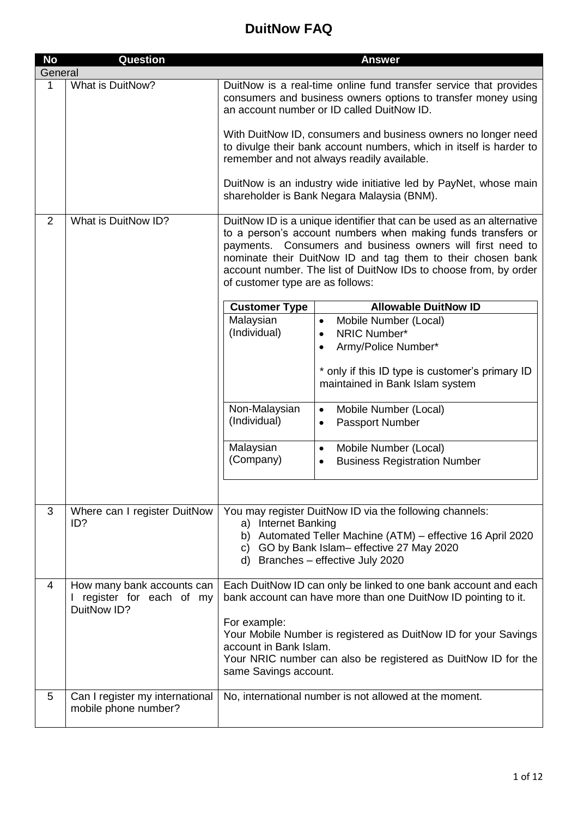| <b>No</b> | Question                                                             | <b>Answer</b>                                                                                                                                                                                                                                                                                                                                                             |
|-----------|----------------------------------------------------------------------|---------------------------------------------------------------------------------------------------------------------------------------------------------------------------------------------------------------------------------------------------------------------------------------------------------------------------------------------------------------------------|
| General   |                                                                      |                                                                                                                                                                                                                                                                                                                                                                           |
| 1         | What is DuitNow?                                                     | DuitNow is a real-time online fund transfer service that provides<br>consumers and business owners options to transfer money using<br>an account number or ID called DuitNow ID.                                                                                                                                                                                          |
|           |                                                                      | With DuitNow ID, consumers and business owners no longer need<br>to divulge their bank account numbers, which in itself is harder to<br>remember and not always readily available.                                                                                                                                                                                        |
|           |                                                                      | DuitNow is an industry wide initiative led by PayNet, whose main<br>shareholder is Bank Negara Malaysia (BNM).                                                                                                                                                                                                                                                            |
| 2         | What is DuitNow ID?                                                  | DuitNow ID is a unique identifier that can be used as an alternative<br>to a person's account numbers when making funds transfers or<br>payments. Consumers and business owners will first need to<br>nominate their DuitNow ID and tag them to their chosen bank<br>account number. The list of DuitNow IDs to choose from, by order<br>of customer type are as follows: |
|           |                                                                      | <b>Allowable DuitNow ID</b><br><b>Customer Type</b>                                                                                                                                                                                                                                                                                                                       |
|           |                                                                      | Malaysian<br>Mobile Number (Local)<br>$\bullet$                                                                                                                                                                                                                                                                                                                           |
|           |                                                                      | (Individual)<br>NRIC Number*<br>$\bullet$                                                                                                                                                                                                                                                                                                                                 |
|           |                                                                      | Army/Police Number*                                                                                                                                                                                                                                                                                                                                                       |
|           |                                                                      | * only if this ID type is customer's primary ID<br>maintained in Bank Islam system                                                                                                                                                                                                                                                                                        |
|           |                                                                      | Non-Malaysian<br>Mobile Number (Local)<br>$\bullet$                                                                                                                                                                                                                                                                                                                       |
|           |                                                                      | (Individual)<br>Passport Number<br>$\bullet$                                                                                                                                                                                                                                                                                                                              |
|           |                                                                      | Malaysian<br>Mobile Number (Local)<br>$\bullet$<br>(Company)<br><b>Business Registration Number</b><br>$\bullet$                                                                                                                                                                                                                                                          |
|           |                                                                      |                                                                                                                                                                                                                                                                                                                                                                           |
| 3         | Where can I register DuitNow<br>ID?                                  | You may register DuitNow ID via the following channels:<br>a) Internet Banking                                                                                                                                                                                                                                                                                            |
|           |                                                                      | b) Automated Teller Machine (ATM) - effective 16 April 2020<br>c) GO by Bank Islam- effective 27 May 2020<br>d) Branches - effective July 2020                                                                                                                                                                                                                            |
| 4         | How many bank accounts can<br>register for each of my<br>DuitNow ID? | Each DuitNow ID can only be linked to one bank account and each<br>bank account can have more than one DuitNow ID pointing to it.                                                                                                                                                                                                                                         |
|           |                                                                      | For example:<br>Your Mobile Number is registered as DuitNow ID for your Savings<br>account in Bank Islam.<br>Your NRIC number can also be registered as DuitNow ID for the<br>same Savings account.                                                                                                                                                                       |
| 5         | Can I register my international<br>mobile phone number?              | No, international number is not allowed at the moment.                                                                                                                                                                                                                                                                                                                    |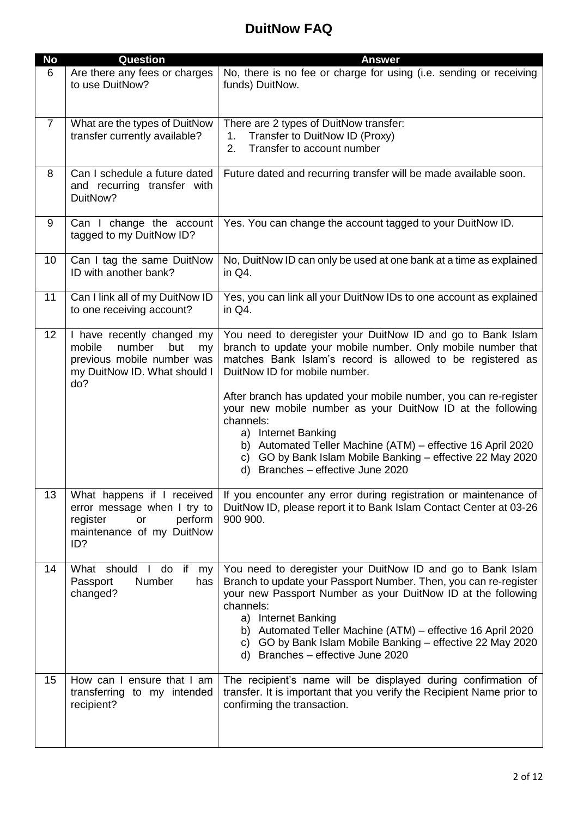| <b>No</b>      | Question                                                                                                                         | <b>Answer</b>                                                                                                                                                                                                                                                                                                                                                                                                                                                                                                                                                      |
|----------------|----------------------------------------------------------------------------------------------------------------------------------|--------------------------------------------------------------------------------------------------------------------------------------------------------------------------------------------------------------------------------------------------------------------------------------------------------------------------------------------------------------------------------------------------------------------------------------------------------------------------------------------------------------------------------------------------------------------|
| 6              | Are there any fees or charges<br>to use DuitNow?                                                                                 | No, there is no fee or charge for using (i.e. sending or receiving<br>funds) DuitNow.                                                                                                                                                                                                                                                                                                                                                                                                                                                                              |
| $\overline{7}$ | What are the types of DuitNow<br>transfer currently available?                                                                   | There are 2 types of DuitNow transfer:<br>Transfer to DuitNow ID (Proxy)<br>1.<br>Transfer to account number<br>2.                                                                                                                                                                                                                                                                                                                                                                                                                                                 |
| 8              | Can I schedule a future dated<br>and recurring transfer with<br>DuitNow?                                                         | Future dated and recurring transfer will be made available soon.                                                                                                                                                                                                                                                                                                                                                                                                                                                                                                   |
| 9              | Can I change the account<br>tagged to my DuitNow ID?                                                                             | Yes. You can change the account tagged to your DuitNow ID.                                                                                                                                                                                                                                                                                                                                                                                                                                                                                                         |
| 10             | Can I tag the same DuitNow<br>ID with another bank?                                                                              | No, DuitNow ID can only be used at one bank at a time as explained<br>in Q4.                                                                                                                                                                                                                                                                                                                                                                                                                                                                                       |
| 11             | Can I link all of my DuitNow ID<br>to one receiving account?                                                                     | Yes, you can link all your DuitNow IDs to one account as explained<br>in Q4.                                                                                                                                                                                                                                                                                                                                                                                                                                                                                       |
| 12             | I have recently changed my<br>number<br>mobile<br>but<br>my<br>previous mobile number was<br>my DuitNow ID. What should I<br>do? | You need to deregister your DuitNow ID and go to Bank Islam<br>branch to update your mobile number. Only mobile number that<br>matches Bank Islam's record is allowed to be registered as<br>DuitNow ID for mobile number.<br>After branch has updated your mobile number, you can re-register<br>your new mobile number as your DuitNow ID at the following<br>channels:<br>a) Internet Banking<br>b) Automated Teller Machine (ATM) - effective 16 April 2020<br>c) GO by Bank Islam Mobile Banking - effective 22 May 2020<br>d) Branches - effective June 2020 |
| 13             | What happens if I received<br>error message when I try to<br>perform<br>register<br>or<br>maintenance of my DuitNow<br>ID?       | If you encounter any error during registration or maintenance of<br>DuitNow ID, please report it to Bank Islam Contact Center at 03-26<br>900 900.                                                                                                                                                                                                                                                                                                                                                                                                                 |
| 14             | What should<br>do<br>if<br>$\mathbf{L}$<br>my<br>Number<br>Passport<br>has<br>changed?                                           | You need to deregister your DuitNow ID and go to Bank Islam<br>Branch to update your Passport Number. Then, you can re-register<br>your new Passport Number as your DuitNow ID at the following<br>channels:<br>a) Internet Banking<br>b) Automated Teller Machine (ATM) – effective 16 April 2020<br>c) GO by Bank Islam Mobile Banking - effective 22 May 2020<br>d) Branches - effective June 2020                                                                                                                                                              |
| 15             | How can I ensure that I am<br>transferring to my intended<br>recipient?                                                          | The recipient's name will be displayed during confirmation of<br>transfer. It is important that you verify the Recipient Name prior to<br>confirming the transaction.                                                                                                                                                                                                                                                                                                                                                                                              |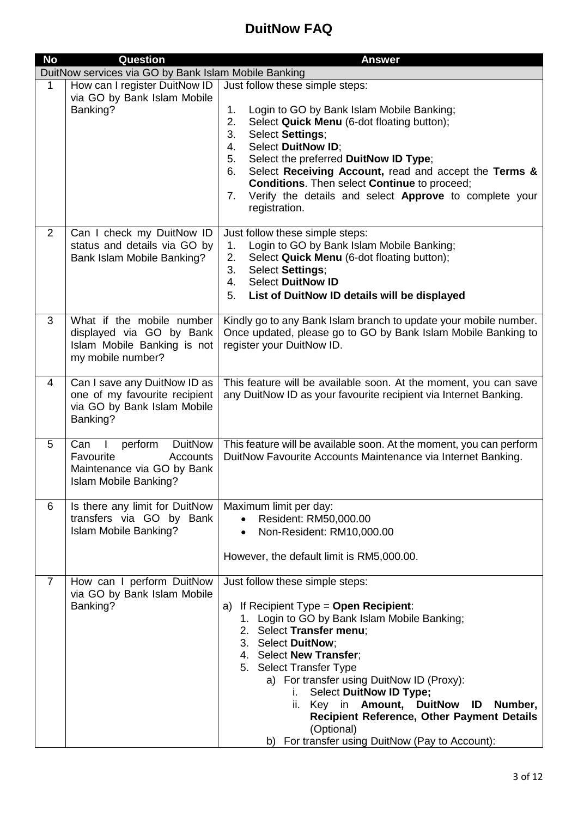| <b>No</b>      | <b>Question</b>                                                                                                  | <b>Answer</b>                                                                                                                                                                                                                                                                                                                                                                                                                                                                          |
|----------------|------------------------------------------------------------------------------------------------------------------|----------------------------------------------------------------------------------------------------------------------------------------------------------------------------------------------------------------------------------------------------------------------------------------------------------------------------------------------------------------------------------------------------------------------------------------------------------------------------------------|
|                | DuitNow services via GO by Bank Islam Mobile Banking                                                             |                                                                                                                                                                                                                                                                                                                                                                                                                                                                                        |
| $\mathbf 1$    | How can I register DuitNow ID<br>via GO by Bank Islam Mobile<br>Banking?                                         | Just follow these simple steps:<br>1.<br>Login to GO by Bank Islam Mobile Banking;<br>2.<br>Select Quick Menu (6-dot floating button);<br>Select Settings;<br>3.<br>Select DuitNow ID;<br>4.<br>5.<br>Select the preferred DuitNow ID Type;<br>Select Receiving Account, read and accept the Terms &<br>6.<br>Conditions. Then select Continue to proceed;<br>Verify the details and select Approve to complete your<br>$7_{\cdot}$<br>registration.                                   |
| $\overline{2}$ | Can I check my DuitNow ID<br>status and details via GO by<br>Bank Islam Mobile Banking?                          | Just follow these simple steps:<br>Login to GO by Bank Islam Mobile Banking;<br>1.<br>Select Quick Menu (6-dot floating button);<br>2.<br>Select Settings;<br>3.<br><b>Select DuitNow ID</b><br>4.<br>List of DuitNow ID details will be displayed<br>5.                                                                                                                                                                                                                               |
| 3              | What if the mobile number<br>displayed via GO by Bank<br>Islam Mobile Banking is not<br>my mobile number?        | Kindly go to any Bank Islam branch to update your mobile number.<br>Once updated, please go to GO by Bank Islam Mobile Banking to<br>register your DuitNow ID.                                                                                                                                                                                                                                                                                                                         |
| $\overline{4}$ | Can I save any DuitNow ID as<br>one of my favourite recipient<br>via GO by Bank Islam Mobile<br>Banking?         | This feature will be available soon. At the moment, you can save<br>any DuitNow ID as your favourite recipient via Internet Banking.                                                                                                                                                                                                                                                                                                                                                   |
| 5              | perform<br><b>DuitNow</b><br>Can<br>Favourite<br>Accounts<br>Maintenance via GO by Bank<br>Islam Mobile Banking? | This feature will be available soon. At the moment, you can perform<br>DuitNow Favourite Accounts Maintenance via Internet Banking.                                                                                                                                                                                                                                                                                                                                                    |
| 6              | Is there any limit for DuitNow<br>transfers via GO by Bank<br>Islam Mobile Banking?                              | Maximum limit per day:<br>Resident: RM50,000.00<br>Non-Resident: RM10,000.00<br>$\bullet$<br>However, the default limit is RM5,000.00.                                                                                                                                                                                                                                                                                                                                                 |
| $\overline{7}$ | How can I perform DuitNow<br>via GO by Bank Islam Mobile<br>Banking?                                             | Just follow these simple steps:<br>If Recipient Type $=$ Open Recipient:<br>a)<br>1. Login to GO by Bank Islam Mobile Banking;<br>2. Select Transfer menu;<br>3. Select DuitNow;<br>4. Select New Transfer;<br>5. Select Transfer Type<br>a) For transfer using DuitNow ID (Proxy):<br>Select DuitNow ID Type;<br>i.<br>ii. Key in Amount, DuitNow ID<br>Number,<br><b>Recipient Reference, Other Payment Details</b><br>(Optional)<br>b) For transfer using DuitNow (Pay to Account): |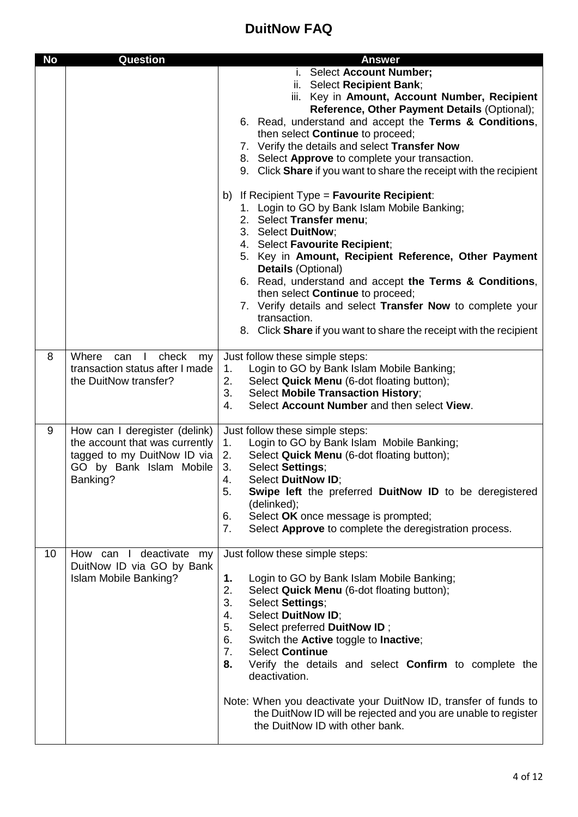| <b>No</b> | <b>Question</b>                                                                                                                       | <b>Answer</b>                                                                                                                                                                                                                                                                                                                                                                                                                                                                                                                                                                    |
|-----------|---------------------------------------------------------------------------------------------------------------------------------------|----------------------------------------------------------------------------------------------------------------------------------------------------------------------------------------------------------------------------------------------------------------------------------------------------------------------------------------------------------------------------------------------------------------------------------------------------------------------------------------------------------------------------------------------------------------------------------|
|           |                                                                                                                                       | i. Select Account Number;<br>ii. Select Recipient Bank;<br>iii. Key in Amount, Account Number, Recipient<br>Reference, Other Payment Details (Optional);<br>6. Read, understand and accept the Terms & Conditions,<br>then select Continue to proceed;<br>7. Verify the details and select Transfer Now<br>8. Select Approve to complete your transaction.<br>9. Click Share if you want to share the receipt with the recipient                                                                                                                                                 |
|           |                                                                                                                                       | b) If Recipient Type = $\blacksquare$ Favourite Recipient:<br>1. Login to GO by Bank Islam Mobile Banking;<br>2. Select Transfer menu;<br>3. Select DuitNow;<br>4. Select Favourite Recipient;<br>5. Key in Amount, Recipient Reference, Other Payment<br><b>Details (Optional)</b><br>6. Read, understand and accept the Terms & Conditions,<br>then select Continue to proceed;<br>7. Verify details and select Transfer Now to complete your<br>transaction.<br>8. Click Share if you want to share the receipt with the recipient                                            |
| 8         | Where<br>check<br>can I<br>my<br>transaction status after I made<br>the DuitNow transfer?                                             | Just follow these simple steps:<br>Login to GO by Bank Islam Mobile Banking;<br>1.<br>2.<br>Select Quick Menu (6-dot floating button);<br><b>Select Mobile Transaction History;</b><br>3.<br>Select Account Number and then select View.<br>4.                                                                                                                                                                                                                                                                                                                                   |
| 9         | How can I deregister (delink)<br>the account that was currently<br>tagged to my DuitNow ID via<br>GO by Bank Islam Mobile<br>Banking? | Just follow these simple steps:<br>Login to GO by Bank Islam Mobile Banking;<br>1.<br>2.<br>Select Quick Menu (6-dot floating button);<br>Select Settings;<br>3.<br><b>Select DuitNow ID;</b><br>4.<br>Swipe left the preferred DuitNow ID to be deregistered<br>5.<br>(delinked);<br>Select OK once message is prompted;<br>6.<br>7.<br>Select Approve to complete the deregistration process.                                                                                                                                                                                  |
| 10        | How can I deactivate my<br>DuitNow ID via GO by Bank<br>Islam Mobile Banking?                                                         | Just follow these simple steps:<br>Login to GO by Bank Islam Mobile Banking;<br>1.<br>2.<br>Select Quick Menu (6-dot floating button);<br>3.<br>Select Settings;<br>Select DuitNow ID;<br>4.<br>5.<br>Select preferred DuitNow ID;<br>6.<br>Switch the Active toggle to Inactive;<br><b>Select Continue</b><br>7.<br>8.<br>Verify the details and select <b>Confirm</b> to complete the<br>deactivation.<br>Note: When you deactivate your DuitNow ID, transfer of funds to<br>the DuitNow ID will be rejected and you are unable to register<br>the DuitNow ID with other bank. |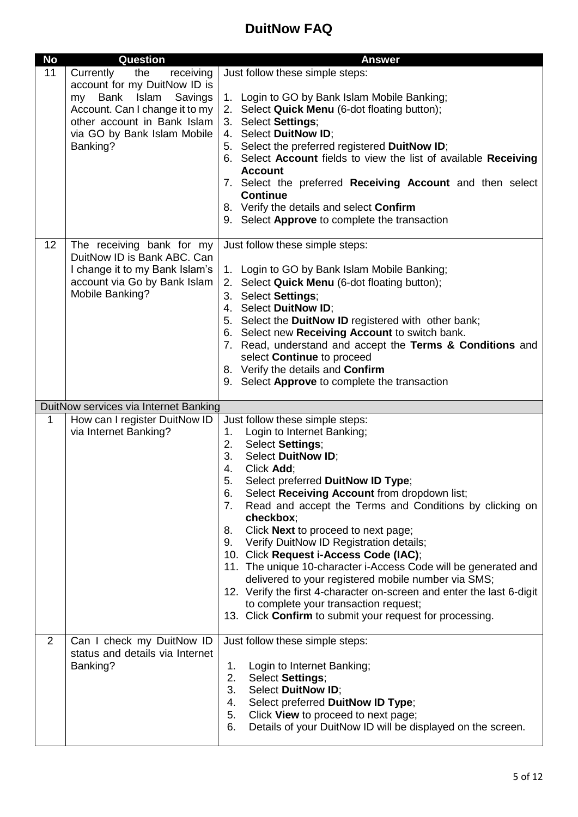| <b>No</b>      | <b>Question</b>                                                                                                                                                                                                    | <b>Answer</b>                                                                                                                                                                                                                                                                                                                                                                                                                                                                                                                                                                                                                                                                                                                                                             |
|----------------|--------------------------------------------------------------------------------------------------------------------------------------------------------------------------------------------------------------------|---------------------------------------------------------------------------------------------------------------------------------------------------------------------------------------------------------------------------------------------------------------------------------------------------------------------------------------------------------------------------------------------------------------------------------------------------------------------------------------------------------------------------------------------------------------------------------------------------------------------------------------------------------------------------------------------------------------------------------------------------------------------------|
| 11             | the<br>Currently<br>receiving<br>account for my DuitNow ID is<br>Islam<br><b>Bank</b><br>Savings<br>my<br>Account. Can I change it to my<br>other account in Bank Islam<br>via GO by Bank Islam Mobile<br>Banking? | Just follow these simple steps:<br>1. Login to GO by Bank Islam Mobile Banking;<br>2. Select Quick Menu (6-dot floating button);<br>3. Select Settings;<br>4. Select DuitNow ID;<br>5. Select the preferred registered DuitNow ID;<br>6. Select Account fields to view the list of available Receiving<br><b>Account</b><br>7. Select the preferred Receiving Account and then select                                                                                                                                                                                                                                                                                                                                                                                     |
|                |                                                                                                                                                                                                                    | <b>Continue</b><br>8. Verify the details and select Confirm<br>9. Select Approve to complete the transaction                                                                                                                                                                                                                                                                                                                                                                                                                                                                                                                                                                                                                                                              |
| 12             | The receiving bank for my<br>DuitNow ID is Bank ABC. Can<br>I change it to my Bank Islam's<br>account via Go by Bank Islam<br>Mobile Banking?                                                                      | Just follow these simple steps:<br>1. Login to GO by Bank Islam Mobile Banking;<br>2. Select Quick Menu (6-dot floating button);<br>3. Select Settings;<br>4. Select DuitNow ID;<br>5. Select the DuitNow ID registered with other bank;<br>6. Select new Receiving Account to switch bank.<br>7. Read, understand and accept the Terms & Conditions and<br>select Continue to proceed<br>8. Verify the details and Confirm<br>9. Select Approve to complete the transaction                                                                                                                                                                                                                                                                                              |
|                | DuitNow services via Internet Banking                                                                                                                                                                              |                                                                                                                                                                                                                                                                                                                                                                                                                                                                                                                                                                                                                                                                                                                                                                           |
| 1              | How can I register DuitNow ID<br>via Internet Banking?                                                                                                                                                             | Just follow these simple steps:<br>1.<br>Login to Internet Banking;<br>2. Select Settings;<br>3.<br>Select DuitNow ID;<br>4.<br>Click Add;<br>5.<br>Select preferred DuitNow ID Type;<br>Select Receiving Account from dropdown list;<br>6.<br>Read and accept the Terms and Conditions by clicking on<br>7.<br>checkbox;<br>Click Next to proceed to next page;<br>8.<br>Verify DuitNow ID Registration details;<br>9.<br>10. Click Request i-Access Code (IAC);<br>11. The unique 10-character i-Access Code will be generated and<br>delivered to your registered mobile number via SMS;<br>12. Verify the first 4-character on-screen and enter the last 6-digit<br>to complete your transaction request;<br>13. Click Confirm to submit your request for processing. |
| $\overline{2}$ | Can I check my DuitNow ID<br>status and details via Internet<br>Banking?                                                                                                                                           | Just follow these simple steps:<br>Login to Internet Banking;<br>1.<br>2.<br>Select Settings;<br>Select DuitNow ID;<br>3.<br>Select preferred DuitNow ID Type;<br>4.<br>Click View to proceed to next page;<br>5.<br>Details of your DuitNow ID will be displayed on the screen.<br>6.                                                                                                                                                                                                                                                                                                                                                                                                                                                                                    |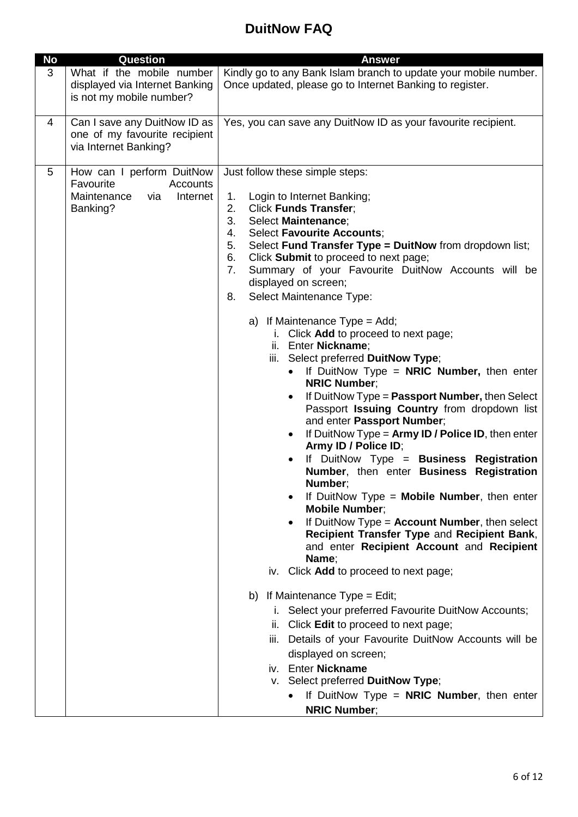| <b>No</b> | Question                                                                                         | <b>Answer</b>                                                                                                                                                                                                                                                                                                                                                                                                                                                                                                                                                                                                                                                                                                                                                                                                                                                                                                                                                                                                                                                                                                                                                                                                                                                                                                                                                                                                                                                                                                                                                                                                                                                      |
|-----------|--------------------------------------------------------------------------------------------------|--------------------------------------------------------------------------------------------------------------------------------------------------------------------------------------------------------------------------------------------------------------------------------------------------------------------------------------------------------------------------------------------------------------------------------------------------------------------------------------------------------------------------------------------------------------------------------------------------------------------------------------------------------------------------------------------------------------------------------------------------------------------------------------------------------------------------------------------------------------------------------------------------------------------------------------------------------------------------------------------------------------------------------------------------------------------------------------------------------------------------------------------------------------------------------------------------------------------------------------------------------------------------------------------------------------------------------------------------------------------------------------------------------------------------------------------------------------------------------------------------------------------------------------------------------------------------------------------------------------------------------------------------------------------|
| 3         | What if the mobile number<br>displayed via Internet Banking<br>is not my mobile number?          | Kindly go to any Bank Islam branch to update your mobile number.<br>Once updated, please go to Internet Banking to register.                                                                                                                                                                                                                                                                                                                                                                                                                                                                                                                                                                                                                                                                                                                                                                                                                                                                                                                                                                                                                                                                                                                                                                                                                                                                                                                                                                                                                                                                                                                                       |
| 4         | Can I save any DuitNow ID as<br>one of my favourite recipient<br>via Internet Banking?           | Yes, you can save any DuitNow ID as your favourite recipient.                                                                                                                                                                                                                                                                                                                                                                                                                                                                                                                                                                                                                                                                                                                                                                                                                                                                                                                                                                                                                                                                                                                                                                                                                                                                                                                                                                                                                                                                                                                                                                                                      |
| 5         | How can I perform DuitNow<br>Favourite<br>Accounts<br>Maintenance<br>Internet<br>via<br>Banking? | Just follow these simple steps:<br>1.<br>Login to Internet Banking;<br><b>Click Funds Transfer;</b><br>2.<br>3.<br>Select Maintenance;<br><b>Select Favourite Accounts;</b><br>4.<br>Select Fund Transfer Type = DuitNow from dropdown list;<br>5.<br>Click Submit to proceed to next page;<br>6.<br>Summary of your Favourite DuitNow Accounts will be<br>7.<br>displayed on screen;<br>Select Maintenance Type:<br>8.<br>a) If Maintenance $Type = Add;$<br>i. Click Add to proceed to next page;<br>ii. Enter Nickname;<br>iii. Select preferred DuitNow Type;<br>If DuitNow Type = NRIC Number, then enter<br>$\bullet$<br><b>NRIC Number:</b><br>If DuitNow Type = Passport Number, then Select<br>$\bullet$<br>Passport Issuing Country from dropdown list<br>and enter Passport Number;<br>If DuitNow Type = $Army ID / Police ID$ , then enter<br>$\bullet$<br>Army ID / Police ID;<br>If DuitNow Type = Business Registration<br>$\bullet$<br>Number, then enter Business Registration<br>Number;<br>If DuitNow Type = <b>Mobile Number</b> , then enter<br><b>Mobile Number:</b><br>If DuitNow $Type = Account$ Number, then select<br>$\bullet$<br>Recipient Transfer Type and Recipient Bank,<br>and enter Recipient Account and Recipient<br>Name;<br>iv. Click Add to proceed to next page;<br>b) If Maintenance Type = Edit;<br>i. Select your preferred Favourite DuitNow Accounts;<br>ii. Click Edit to proceed to next page;<br>iii. Details of your Favourite DuitNow Accounts will be<br>displayed on screen;<br>iv. Enter Nickname<br>v. Select preferred DuitNow Type;<br>If DuitNow Type = $NRIC$ Number, then enter<br><b>NRIC Number;</b> |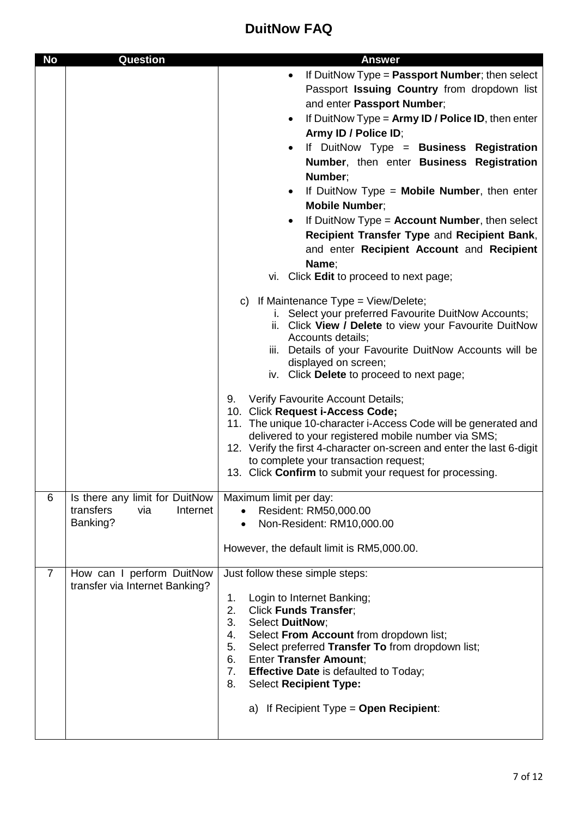| <b>No</b>      | <b>Question</b>                                                            | <b>Answer</b>                                                                                                                                                                                                                                                                                                                                                                                                                                                                                                                                                                                                                                                                                                                                                                                                                                                                                                                                                                                                                                                                                                                                                                                                                                                                                                                                       |
|----------------|----------------------------------------------------------------------------|-----------------------------------------------------------------------------------------------------------------------------------------------------------------------------------------------------------------------------------------------------------------------------------------------------------------------------------------------------------------------------------------------------------------------------------------------------------------------------------------------------------------------------------------------------------------------------------------------------------------------------------------------------------------------------------------------------------------------------------------------------------------------------------------------------------------------------------------------------------------------------------------------------------------------------------------------------------------------------------------------------------------------------------------------------------------------------------------------------------------------------------------------------------------------------------------------------------------------------------------------------------------------------------------------------------------------------------------------------|
|                |                                                                            | If DuitNow Type = Passport Number; then select<br>$\bullet$<br>Passport Issuing Country from dropdown list<br>and enter Passport Number;<br>If DuitNow Type = $Army ID / Police ID$ , then enter<br>٠<br>Army ID / Police ID;<br>If DuitNow Type = Business Registration<br>٠<br>Number, then enter Business Registration<br>Number:<br>If DuitNow Type = $Mobile Number$ , then enter<br>$\bullet$<br><b>Mobile Number;</b><br>If DuitNow Type = Account Number, then select<br>$\bullet$<br>Recipient Transfer Type and Recipient Bank,<br>and enter Recipient Account and Recipient<br>Name;<br>vi. Click Edit to proceed to next page;<br>c) If Maintenance $Type = View/Delete;$<br>i. Select your preferred Favourite DuitNow Accounts;<br>ii. Click View / Delete to view your Favourite DuitNow<br>Accounts details;<br>iii. Details of your Favourite DuitNow Accounts will be<br>displayed on screen;<br>iv. Click Delete to proceed to next page;<br>Verify Favourite Account Details;<br>9.<br>10. Click Request i-Access Code;<br>11. The unique 10-character i-Access Code will be generated and<br>delivered to your registered mobile number via SMS;<br>12. Verify the first 4-character on-screen and enter the last 6-digit<br>to complete your transaction request;<br>13. Click Confirm to submit your request for processing. |
| 6              | Is there any limit for DuitNow<br>transfers<br>via<br>Internet<br>Banking? | Maximum limit per day:<br>Resident: RM50,000.00<br>Non-Resident: RM10,000.00<br>However, the default limit is RM5,000.00.                                                                                                                                                                                                                                                                                                                                                                                                                                                                                                                                                                                                                                                                                                                                                                                                                                                                                                                                                                                                                                                                                                                                                                                                                           |
| $\overline{7}$ | How can I perform DuitNow<br>transfer via Internet Banking?                | Just follow these simple steps:<br>Login to Internet Banking;<br>1.<br>2.<br><b>Click Funds Transfer;</b><br>3.<br>Select DuitNow;<br>Select From Account from dropdown list;<br>4.<br>5.<br>Select preferred Transfer To from dropdown list;<br>6.<br><b>Enter Transfer Amount;</b><br>7.<br><b>Effective Date</b> is defaulted to Today;<br>8.<br><b>Select Recipient Type:</b><br>a) If Recipient Type = Open Recipient:                                                                                                                                                                                                                                                                                                                                                                                                                                                                                                                                                                                                                                                                                                                                                                                                                                                                                                                         |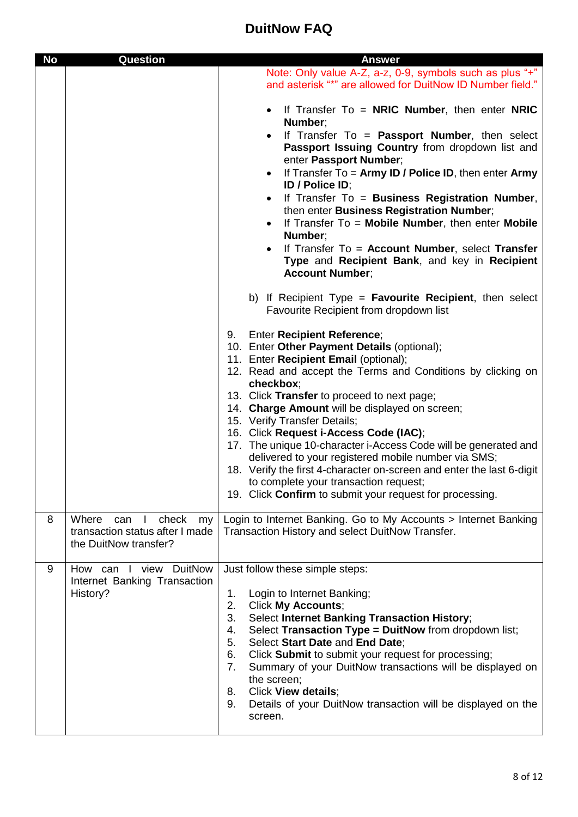| <b>No</b> | <b>Question</b>                                                                               | <b>Answer</b>                                                                                                                                                                                                                                                                                                                                                                                                                                                                                                                                                                                                                                                                                  |
|-----------|-----------------------------------------------------------------------------------------------|------------------------------------------------------------------------------------------------------------------------------------------------------------------------------------------------------------------------------------------------------------------------------------------------------------------------------------------------------------------------------------------------------------------------------------------------------------------------------------------------------------------------------------------------------------------------------------------------------------------------------------------------------------------------------------------------|
|           |                                                                                               | Note: Only value A-Z, a-z, 0-9, symbols such as plus "+"<br>and asterisk "*" are allowed for DuitNow ID Number field."                                                                                                                                                                                                                                                                                                                                                                                                                                                                                                                                                                         |
|           |                                                                                               | If Transfer $To = NRIC$ Number, then enter NRIC<br>$\bullet$<br>Number;<br>If Transfer To = Passport Number, then select<br>$\bullet$<br>Passport Issuing Country from dropdown list and<br>enter Passport Number;<br>If Transfer To $=$ Army ID / Police ID, then enter Army<br>$\bullet$<br>ID / Police ID;<br>If Transfer To = Business Registration Number,<br>$\bullet$<br>then enter Business Registration Number;<br>If Transfer $To = Mobile Number$ , then enter Mobile<br>Number;<br>If Transfer To = Account Number, select Transfer<br>$\bullet$<br>Type and Recipient Bank, and key in Recipient<br><b>Account Number;</b>                                                        |
|           |                                                                                               | b) If Recipient Type = $\blacksquare$ <b>Favourite Recipient</b> , then select<br>Favourite Recipient from dropdown list                                                                                                                                                                                                                                                                                                                                                                                                                                                                                                                                                                       |
|           |                                                                                               | <b>Enter Recipient Reference;</b><br>9.<br>10. Enter Other Payment Details (optional);<br>11. Enter Recipient Email (optional);<br>12. Read and accept the Terms and Conditions by clicking on<br>checkbox;<br>13. Click Transfer to proceed to next page;<br>14. Charge Amount will be displayed on screen;<br>15. Verify Transfer Details;<br>16. Click Request i-Access Code (IAC);<br>17. The unique 10-character i-Access Code will be generated and<br>delivered to your registered mobile number via SMS;<br>18. Verify the first 4-character on-screen and enter the last 6-digit<br>to complete your transaction request;<br>19. Click Confirm to submit your request for processing. |
| 8         | Where<br>check<br>can<br>J.<br>my<br>transaction status after I made<br>the DuitNow transfer? | Login to Internet Banking. Go to My Accounts > Internet Banking<br>Transaction History and select DuitNow Transfer.                                                                                                                                                                                                                                                                                                                                                                                                                                                                                                                                                                            |
| 9         | How can I view DuitNow<br>Internet Banking Transaction<br>History?                            | Just follow these simple steps:<br>Login to Internet Banking;<br>1.<br>2.<br><b>Click My Accounts;</b><br>3.<br><b>Select Internet Banking Transaction History;</b><br>Select Transaction Type = DuitNow from dropdown list;<br>4.<br>5.<br>Select Start Date and End Date;<br>6.<br>Click Submit to submit your request for processing;<br>Summary of your DuitNow transactions will be displayed on<br>7.<br>the screen;<br>Click View details;<br>8.<br>Details of your DuitNow transaction will be displayed on the<br>9.<br>screen.                                                                                                                                                       |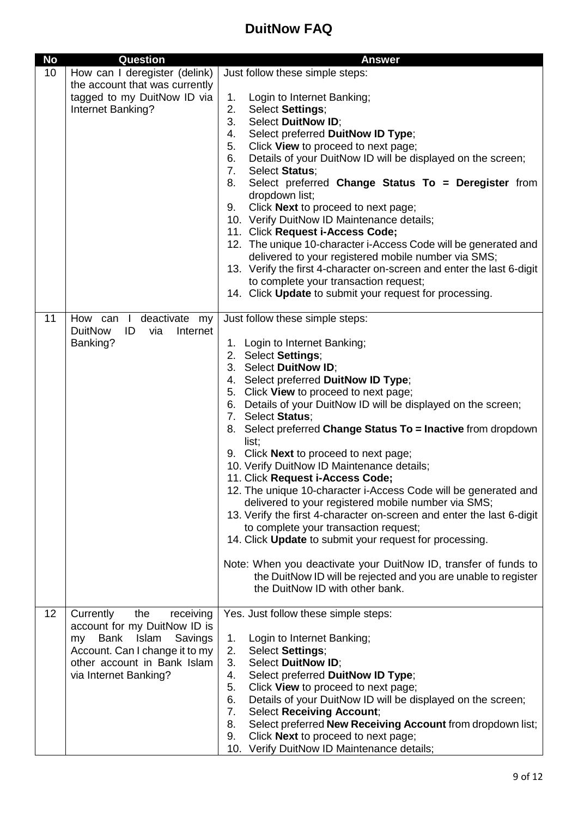| <b>No</b> | Question                                | <b>Answer</b>                                                                                                                |
|-----------|-----------------------------------------|------------------------------------------------------------------------------------------------------------------------------|
| 10        | How can I deregister (delink)           | Just follow these simple steps:                                                                                              |
|           | the account that was currently          |                                                                                                                              |
|           | tagged to my DuitNow ID via             | 1.<br>Login to Internet Banking;                                                                                             |
|           | Internet Banking?                       | 2.<br>Select Settings;                                                                                                       |
|           |                                         | 3.<br><b>Select DuitNow ID:</b>                                                                                              |
|           |                                         | Select preferred DuitNow ID Type;<br>4.<br>5.<br>Click View to proceed to next page;                                         |
|           |                                         | Details of your DuitNow ID will be displayed on the screen;<br>6.                                                            |
|           |                                         | 7.<br>Select Status;                                                                                                         |
|           |                                         | 8.<br>Select preferred Change Status To = Deregister from                                                                    |
|           |                                         | dropdown list;                                                                                                               |
|           |                                         | Click Next to proceed to next page;<br>9.                                                                                    |
|           |                                         | 10. Verify DuitNow ID Maintenance details;                                                                                   |
|           |                                         | 11. Click Request i-Access Code;                                                                                             |
|           |                                         | 12. The unique 10-character i-Access Code will be generated and                                                              |
|           |                                         | delivered to your registered mobile number via SMS;<br>13. Verify the first 4-character on-screen and enter the last 6-digit |
|           |                                         | to complete your transaction request;                                                                                        |
|           |                                         | 14. Click Update to submit your request for processing.                                                                      |
|           |                                         |                                                                                                                              |
| 11        | deactivate my<br>How can I              | Just follow these simple steps:                                                                                              |
|           | <b>DuitNow</b><br>ID<br>Internet<br>via |                                                                                                                              |
|           | Banking?                                | 1. Login to Internet Banking;                                                                                                |
|           |                                         | 2. Select Settings;<br>3. Select DuitNow ID;                                                                                 |
|           |                                         | 4. Select preferred DuitNow ID Type;                                                                                         |
|           |                                         | 5. Click View to proceed to next page;                                                                                       |
|           |                                         | 6. Details of your DuitNow ID will be displayed on the screen;                                                               |
|           |                                         | 7. Select Status;                                                                                                            |
|           |                                         | 8. Select preferred Change Status To = Inactive from dropdown                                                                |
|           |                                         | list;                                                                                                                        |
|           |                                         | 9. Click <b>Next</b> to proceed to next page;                                                                                |
|           |                                         | 10. Verify DuitNow ID Maintenance details;                                                                                   |
|           |                                         | 11. Click Request i-Access Code;<br>12. The unique 10-character i-Access Code will be generated and                          |
|           |                                         | delivered to your registered mobile number via SMS;                                                                          |
|           |                                         | 13. Verify the first 4-character on-screen and enter the last 6-digit                                                        |
|           |                                         | to complete your transaction request;                                                                                        |
|           |                                         | 14. Click Update to submit your request for processing.                                                                      |
|           |                                         |                                                                                                                              |
|           |                                         | Note: When you deactivate your DuitNow ID, transfer of funds to                                                              |
|           |                                         | the DuitNow ID will be rejected and you are unable to register<br>the DuitNow ID with other bank.                            |
|           |                                         |                                                                                                                              |
| 12        | Currently<br>the<br>receiving           | Yes. Just follow these simple steps:                                                                                         |
|           | account for my DuitNow ID is            |                                                                                                                              |
|           | Islam<br>Savings<br>Bank<br>my          | Login to Internet Banking;<br>1.                                                                                             |
|           | Account. Can I change it to my          | 2.<br>Select Settings;                                                                                                       |
|           | other account in Bank Islam             | 3.<br>Select DuitNow ID;                                                                                                     |
|           | via Internet Banking?                   | Select preferred DuitNow ID Type;<br>4.                                                                                      |
|           |                                         | Click View to proceed to next page;<br>5.<br>Details of your DuitNow ID will be displayed on the screen;<br>6.               |
|           |                                         | 7.<br><b>Select Receiving Account;</b>                                                                                       |
|           |                                         | Select preferred New Receiving Account from dropdown list;<br>8.                                                             |
|           |                                         | Click Next to proceed to next page;<br>9.                                                                                    |
|           |                                         | 10. Verify DuitNow ID Maintenance details;                                                                                   |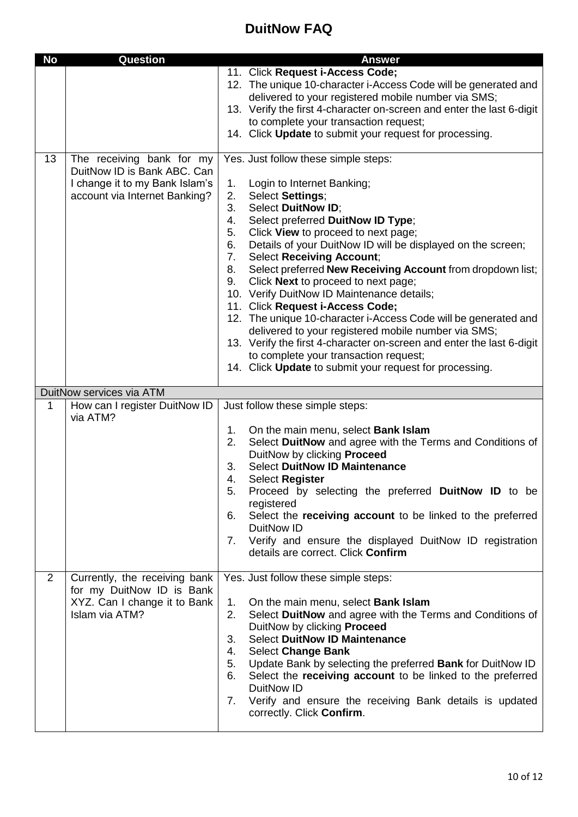| <b>No</b>      | <b>Question</b>                                                                                                             | <b>Answer</b>                                                                                                                                                                                                                                                                                                                                                                                                                                                                                                                                                                                                                                                                                                                                                                                                                                   |
|----------------|-----------------------------------------------------------------------------------------------------------------------------|-------------------------------------------------------------------------------------------------------------------------------------------------------------------------------------------------------------------------------------------------------------------------------------------------------------------------------------------------------------------------------------------------------------------------------------------------------------------------------------------------------------------------------------------------------------------------------------------------------------------------------------------------------------------------------------------------------------------------------------------------------------------------------------------------------------------------------------------------|
|                |                                                                                                                             | 11. Click Request i-Access Code;<br>12. The unique 10-character i-Access Code will be generated and<br>delivered to your registered mobile number via SMS;<br>13. Verify the first 4-character on-screen and enter the last 6-digit<br>to complete your transaction request;<br>14. Click Update to submit your request for processing.                                                                                                                                                                                                                                                                                                                                                                                                                                                                                                         |
| 13             | The receiving bank for my<br>DuitNow ID is Bank ABC. Can<br>I change it to my Bank Islam's<br>account via Internet Banking? | Yes. Just follow these simple steps:<br>1.<br>Login to Internet Banking;<br>2.<br>Select Settings;<br>Select DuitNow ID;<br>3.<br>Select preferred DuitNow ID Type;<br>4.<br>Click View to proceed to next page;<br>5.<br>6.<br>Details of your DuitNow ID will be displayed on the screen;<br>7.<br><b>Select Receiving Account;</b><br>Select preferred New Receiving Account from dropdown list;<br>8.<br>Click Next to proceed to next page;<br>9.<br>10. Verify DuitNow ID Maintenance details;<br>11. Click Request i-Access Code;<br>12. The unique 10-character i-Access Code will be generated and<br>delivered to your registered mobile number via SMS;<br>13. Verify the first 4-character on-screen and enter the last 6-digit<br>to complete your transaction request;<br>14. Click Update to submit your request for processing. |
|                | DuitNow services via ATM                                                                                                    |                                                                                                                                                                                                                                                                                                                                                                                                                                                                                                                                                                                                                                                                                                                                                                                                                                                 |
| 1              | How can I register DuitNow ID<br>via ATM?                                                                                   | Just follow these simple steps:<br>On the main menu, select <b>Bank Islam</b><br>1.<br>Select DuitNow and agree with the Terms and Conditions of<br>2.<br>DuitNow by clicking Proceed<br><b>Select DuitNow ID Maintenance</b><br>3.<br>4.<br><b>Select Register</b><br>Proceed by selecting the preferred DuitNow ID to be<br>5.<br>registered<br>Select the receiving account to be linked to the preferred<br>6.<br>DuitNow ID<br>Verify and ensure the displayed DuitNow ID registration<br>$7_{\cdot}$<br>details are correct. Click Confirm                                                                                                                                                                                                                                                                                                |
| $\overline{2}$ | Currently, the receiving bank<br>for my DuitNow ID is Bank<br>XYZ. Can I change it to Bank<br>Islam via ATM?                | Yes. Just follow these simple steps:<br>1.<br>On the main menu, select <b>Bank Islam</b><br>Select DuitNow and agree with the Terms and Conditions of<br>2.<br>DuitNow by clicking Proceed<br><b>Select DuitNow ID Maintenance</b><br>3.<br><b>Select Change Bank</b><br>4.<br>Update Bank by selecting the preferred Bank for DuitNow ID<br>5.<br>Select the receiving account to be linked to the preferred<br>6.<br>DuitNow ID<br>Verify and ensure the receiving Bank details is updated<br>7.<br>correctly. Click Confirm.                                                                                                                                                                                                                                                                                                                 |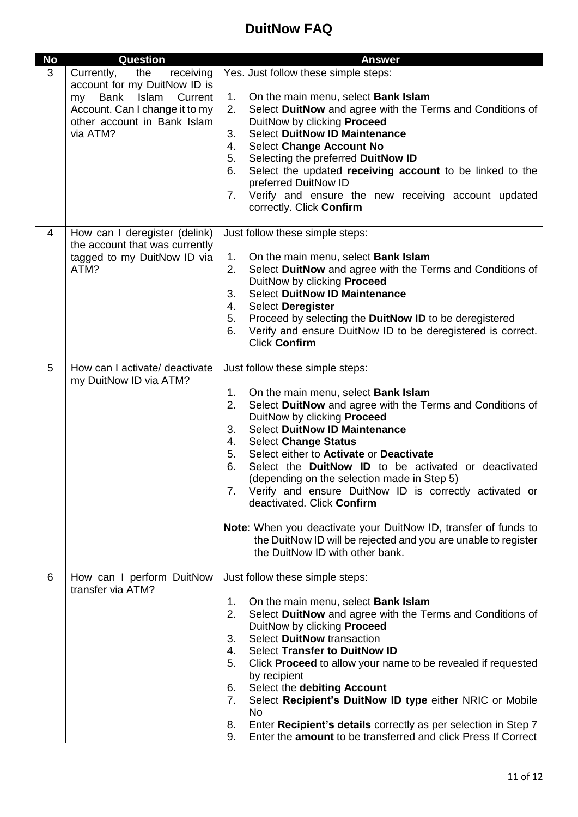| No | <b>Question</b>                                                                                                                                                               | <b>Answer</b>                                                                                                                                                                                                                                                                                                                                                                                                                                                                                                                                                                                                                                                                                             |
|----|-------------------------------------------------------------------------------------------------------------------------------------------------------------------------------|-----------------------------------------------------------------------------------------------------------------------------------------------------------------------------------------------------------------------------------------------------------------------------------------------------------------------------------------------------------------------------------------------------------------------------------------------------------------------------------------------------------------------------------------------------------------------------------------------------------------------------------------------------------------------------------------------------------|
| 3  | Currently,<br>the<br>receiving<br>account for my DuitNow ID is<br>Islam<br>Current<br>Bank<br>my<br>Account. Can I change it to my<br>other account in Bank Islam<br>via ATM? | Yes. Just follow these simple steps:<br>1.<br>On the main menu, select Bank Islam<br>2.<br>Select DuitNow and agree with the Terms and Conditions of<br>DuitNow by clicking Proceed<br><b>Select DuitNow ID Maintenance</b><br>3.<br><b>Select Change Account No</b><br>4.<br>Selecting the preferred DuitNow ID<br>5.<br>Select the updated receiving account to be linked to the<br>6.<br>preferred DuitNow ID<br>Verify and ensure the new receiving account updated<br>7.<br>correctly. Click Confirm                                                                                                                                                                                                 |
| 4  | How can I deregister (delink)<br>the account that was currently<br>tagged to my DuitNow ID via<br>ATM?                                                                        | Just follow these simple steps:<br>On the main menu, select <b>Bank Islam</b><br>1.<br>2.<br>Select DuitNow and agree with the Terms and Conditions of<br>DuitNow by clicking Proceed<br><b>Select DuitNow ID Maintenance</b><br>3.<br>Select Deregister<br>4.<br>Proceed by selecting the DuitNow ID to be deregistered<br>5.<br>Verify and ensure DuitNow ID to be deregistered is correct.<br>6.<br><b>Click Confirm</b>                                                                                                                                                                                                                                                                               |
| 5  | How can I activate/ deactivate<br>my DuitNow ID via ATM?                                                                                                                      | Just follow these simple steps:<br>On the main menu, select Bank Islam<br>1.<br>Select DuitNow and agree with the Terms and Conditions of<br>2.<br>DuitNow by clicking Proceed<br><b>Select DuitNow ID Maintenance</b><br>3.<br><b>Select Change Status</b><br>4.<br>5.<br>Select either to Activate or Deactivate<br>6.<br>Select the DuitNow ID to be activated or deactivated<br>(depending on the selection made in Step 5)<br>7. Verify and ensure DuitNow ID is correctly activated or<br>deactivated. Click Confirm<br><b>Note:</b> When you deactivate your DuitNow ID, transfer of funds to<br>the DuitNow ID will be rejected and you are unable to register<br>the DuitNow ID with other bank. |
| 6  | How can I perform DuitNow<br>transfer via ATM?                                                                                                                                | Just follow these simple steps:<br>On the main menu, select Bank Islam<br>1.<br>2.<br>Select DuitNow and agree with the Terms and Conditions of<br>DuitNow by clicking Proceed<br>Select DuitNow transaction<br>3.<br><b>Select Transfer to DuitNow ID</b><br>4.<br>Click Proceed to allow your name to be revealed if requested<br>5.<br>by recipient<br>Select the debiting Account<br>6.<br>Select Recipient's DuitNow ID type either NRIC or Mobile<br>7.<br><b>No</b><br>Enter Recipient's details correctly as per selection in Step 7<br>8.<br>Enter the amount to be transferred and click Press If Correct<br>9.                                                                                 |